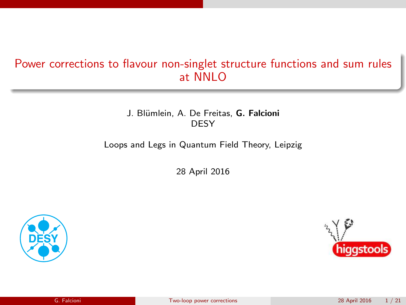# Power corrections to flavour non-singlet structure functions and sum rules at NNLO

J. Blümlein, A. De Freitas, G. Falcioni DESY

Loops and Legs in Quantum Field Theory, Leipzig

28 April 2016



<span id="page-0-0"></span>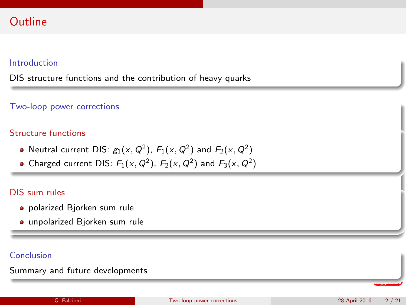# **Outline**

### Introduction

DIS structure functions and the contribution of heavy quarks

### Two-loop power corrections

### Structure functions

- Neutral current DIS:  $g_1(x,Q^2)$ ,  $F_1(x,Q^2)$  and  $F_2(x,Q^2)$
- Charged current DIS:  $F_1(x, Q^2)$ ,  $F_2(x, Q^2)$  and  $F_3(x, Q^2)$

### DIS sum rules

- polarized Bjorken sum rule
- unpolarized Bjorken sum rule

### Conclusion

Summary and future developments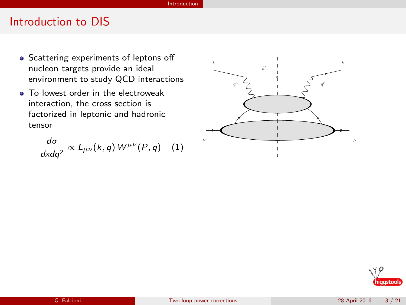#### Introduction

### Introduction to DIS

- Scattering experiments of leptons off nucleon targets provide an ideal environment to study QCD interactions
- **To lowest order in the electroweak** interaction, the cross section is factorized in leptonic and hadronic tensor

dσ  $\frac{d\sigma}{dx dq^2} \propto L_{\mu\nu}(k,q) W^{\mu\nu}(P,q)$  (1)



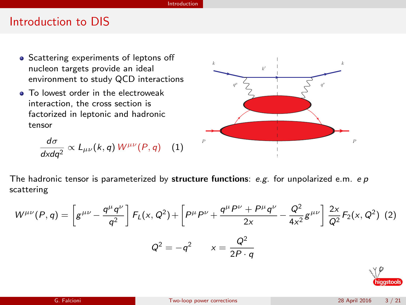#### Introduction

## Introduction to DIS

- Scattering experiments of leptons off nucleon targets provide an ideal environment to study QCD interactions
- To lowest order in the electroweak interaction, the cross section is factorized in leptonic and hadronic tensor

$$
\frac{d\sigma}{dxdq^2}\propto L_{\mu\nu}(k,q)W^{\mu\nu}(P,q) \quad (1)
$$



The hadronic tensor is parameterized by structure functions: e.g. for unpolarized e.m. e  $p$ scattering

$$
W^{\mu\nu}(P,q) = \left[g^{\mu\nu} - \frac{q^{\mu}q^{\nu}}{q^2}\right] F_L(x, Q^2) + \left[P^{\mu}P^{\nu} + \frac{q^{\mu}P^{\nu} + P^{\mu}q^{\nu}}{2x} - \frac{Q^2}{4x^2}g^{\mu\nu}\right] \frac{2x}{Q^2} F_2(x, Q^2)
$$
 (2)  

$$
Q^2 = -q^2 \qquad x = \frac{Q^2}{2P \cdot q}
$$

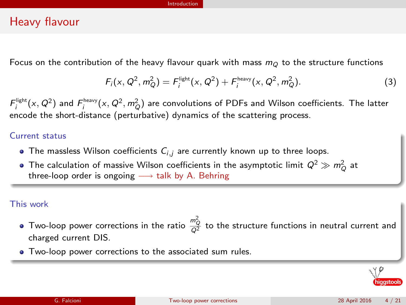#### Introduction

### Heavy flavour

Focus on the contribution of the heavy flavour quark with mass  $m<sub>O</sub>$  to the structure functions

$$
F_i(x, Q^2, m_Q^2) = F_i^{light}(x, Q^2) + F_i^{heavy}(x, Q^2, m_Q^2).
$$
 (3)

 $F^{\text{light}}_i(x,Q^2)$  and  $F^{\text{heavy}}_i(x,Q^2,m^2_Q)$  are convolutions of PDFs and Wilson coefficients. The latter encode the short-distance (perturbative) dynamics of the scattering process.

### Current status

- The massless Wilson coefficients  $C_{i,j}$  are currently known up to three loops.
- The calculation of massive Wilson coefficients in the asymptotic limit  $Q^2 \gg m_Q^2$  at three-loop order is ongoing  $\longrightarrow$  talk by A. Behring

### This work

- Two-loop power corrections in the ratio  $\frac{m_Q^2}{Q^2}$  to the structure functions in neutral current and charged current DIS.
- Two-loop power corrections to the associated sum rules.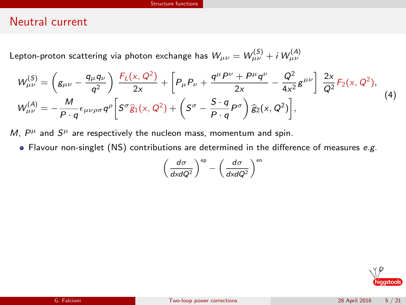### Neutral current

Lepton-proton scattering via photon exchange has  $\mathcal{W}_{\mu\nu} = \mathcal{W}_{\mu\nu}^{(\mathcal{S})} + i \, \mathcal{W}_{\mu\nu}^{(\mathcal{A})}$ 

$$
W_{\mu\nu}^{(S)} = \left(g_{\mu\nu} - \frac{q_{\mu}q_{\nu}}{q^2}\right) \frac{F_L(x, Q^2)}{2x} + \left[P_{\mu}P_{\nu} + \frac{q^{\mu}P^{\nu} + P^{\mu}q^{\nu}}{2x} - \frac{Q^2}{4x^2}g^{\mu\nu}\right] \frac{2x}{Q^2} F_2(x, Q^2),
$$
  
\n
$$
W_{\mu\nu}^{(A)} = -\frac{M}{P \cdot q} \epsilon_{\mu\nu\rho\sigma} q^{\rho} \left[S^{\sigma}\hat{g}_1(x, Q^2) + \left(S^{\sigma} - \frac{S \cdot q}{P \cdot q}P^{\sigma}\right)\hat{g}_2(x, Q^2)\right],
$$
\n(4)

M,  $P^{\mu}$  and  $S^{\mu}$  are respectively the nucleon mass, momentum and spin.

 $\bullet$  Flavour non-singlet (NS) contributions are determined in the difference of measures e.g.

$$
\left(\frac{d\sigma}{dx dQ^2}\right)^{ep} - \left(\frac{d\sigma}{dx dQ^2}\right)^{en}
$$

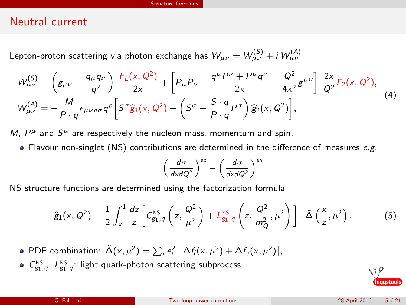### Neutral current

Lepton-proton scattering via photon exchange has  $\mathcal{W}_{\mu\nu} = \mathcal{W}_{\mu\nu}^{(\mathcal{S})} + i \, \mathcal{W}_{\mu\nu}^{(\mathcal{A})}$ 

$$
W_{\mu\nu}^{(S)} = \left(g_{\mu\nu} - \frac{q_{\mu}q_{\nu}}{q^2}\right) \frac{F_L(x, Q^2)}{2x} + \left[P_{\mu}P_{\nu} + \frac{q^{\mu}P^{\nu} + P^{\mu}q^{\nu}}{2x} - \frac{Q^2}{4x^2}g^{\mu\nu}\right] \frac{2x}{Q^2} F_2(x, Q^2),
$$
  
\n
$$
W_{\mu\nu}^{(A)} = -\frac{M}{P \cdot q} \epsilon_{\mu\nu\rho\sigma} q^{\rho} \left[S^{\sigma}\hat{g}_1(x, Q^2) + \left(S^{\sigma} - \frac{S \cdot q}{P \cdot q}P^{\sigma}\right)\hat{g}_2(x, Q^2)\right],
$$
\n(4)

M,  $P^{\mu}$  and  $S^{\mu}$  are respectively the nucleon mass, momentum and spin.

 $\bullet$  Flavour non-singlet (NS) contributions are determined in the difference of measures e.g.

$$
\left(\frac{d\sigma}{dx dQ^2}\right)^{ep} - \left(\frac{d\sigma}{dx dQ^2}\right)^{en}
$$

NS structure functions are determined using the factorization formula

$$
\widehat{g}_1(x, Q^2) = \frac{1}{2} \int_x^1 \frac{dz}{z} \left[ C_{g_1, q}^{\text{NS}} \left( z, \frac{Q^2}{\mu^2} \right) + L_{g_1, q}^{\text{NS}} \left( z, \frac{Q^2}{m_Q^2}, \mu^2 \right) \right] \cdot \tilde{\Delta} \left( \frac{x}{z}, \mu^2 \right), \tag{5}
$$

- PDF combination:  $\tilde{\Delta}(x, \mu^2) = \sum_i e_i^2 \left[ \Delta f_i(x, \mu^2) + \Delta f_{\overline{i}}(x, \mu^2) \right]$ ,
- $C_{g_1,q}^{\text{NS}}, L_{g_1,q}^{\text{NS}}$ : light quark-photon scattering subprocess.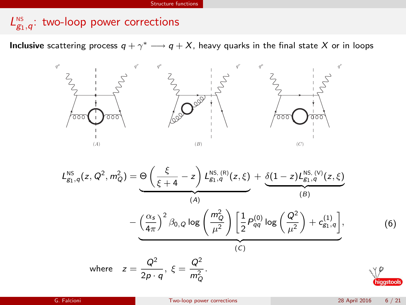# $L_{g_1,q}^{\text{ns}}$ : two-loop power corrections

**Inclusive** scattering process  $q + \gamma^* \longrightarrow q + X$ , heavy quarks in the final state  $X$  or in loops



$$
L_{g_1,q}^{\text{NS}}(z, Q^2, m_Q^2) = \underbrace{\Theta\left(\frac{\xi}{\xi+4} - z\right) L_{g_1,q}^{\text{NS. (R)}}(z, \xi)}_{(A)} + \underbrace{\delta(1-z) L_{g_1,q}^{\text{NS. (V)}}(z, \xi)}_{(B)}
$$
\n
$$
-\underbrace{\left(\frac{\alpha_s}{4\pi}\right)^2 \beta_{0,Q} \log\left(\frac{m_Q^2}{\mu^2}\right)}_{(C)} \left[\frac{1}{2} P_{qq}^{(0)} \log\left(\frac{Q^2}{\mu^2}\right) + c_{g_1,q}^{(1)}\right],
$$
\n(6)\nwhere  $z = \frac{Q^2}{2p \cdot q}, \xi = \frac{Q^2}{m_Q^2}.$ 

hiqqstool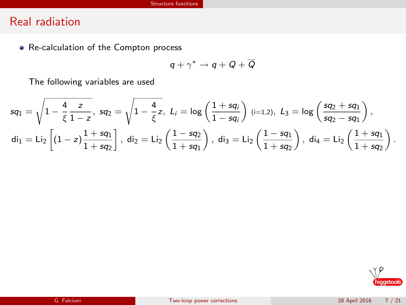# Real radiation

• Re-calculation of the Compton process

$$
q+\gamma^*\to q+Q+\overline{Q}
$$

The following variables are used

$$
\begin{aligned} \mathsf{sq}_1 &= \sqrt{1-\frac{4}{\xi}\frac{z}{1-z}}, \ \mathsf{sq}_2 = \sqrt{1-\frac{4}{\xi}z}, \ \ L_i &= \log\left(\frac{1+\mathsf{sq}_i}{1-\mathsf{sq}_i}\right) \ (\textsf{i}=1,2), \ \ L_3 &= \log\left(\frac{\mathsf{sq}_2+\mathsf{sq}_1}{\mathsf{sq}_2-\mathsf{sq}_1}\right), \\ \mathsf{di}_1 &= \mathsf{Li}_2\left[(1-z)\frac{1+\mathsf{sq}_1}{1+\mathsf{sq}_2}\right], \ \mathsf{di}_2 &= \mathsf{Li}_2\left(\frac{1-\mathsf{sq}_2}{1+\mathsf{sq}_1}\right), \ \mathsf{di}_3 &= \mathsf{Li}_2\left(\frac{1-\mathsf{sq}_1}{1+\mathsf{sq}_2}\right), \ \mathsf{di}_4 &= \mathsf{Li}_2\left(\frac{1+\mathsf{sq}_1}{1+\mathsf{sq}_2}\right). \end{aligned}
$$

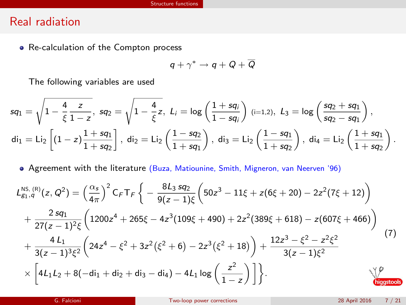### Real radiation

• Re-calculation of the Compton process

$$
q+\gamma^*\to q+Q+\overline{Q}
$$

The following variables are used

$$
\begin{aligned} \mathsf{sq}_1 &= \sqrt{1-\frac{4}{\xi}\frac{z}{1-z}}, \ \mathsf{sq}_2 = \sqrt{1-\frac{4}{\xi}z}, \ \ L_i &= \log\left(\frac{1+\mathsf{sq}_i}{1-\mathsf{sq}_i}\right) \ (\textsf{i}=1,2), \ \ L_3 &= \log\left(\frac{\mathsf{sq}_2+\mathsf{sq}_1}{\mathsf{sq}_2-\mathsf{sq}_1}\right), \\ \mathsf{d}\mathsf{i}_1 &= \mathsf{L}\mathsf{i}_2\left[(1-z)\frac{1+\mathsf{sq}_1}{1+\mathsf{sq}_2}\right], \ \mathsf{d}\mathsf{i}_2 &= \mathsf{L}\mathsf{i}_2\left(\frac{1-\mathsf{sq}_2}{1+\mathsf{sq}_1}\right), \ \mathsf{d}\mathsf{i}_3 &= \mathsf{L}\mathsf{i}_2\left(\frac{1-\mathsf{sq}_1}{1+\mathsf{sq}_2}\right), \ \mathsf{d}\mathsf{i}_4 &= \mathsf{L}\mathsf{i}_2\left(\frac{1+\mathsf{sq}_1}{1+\mathsf{sq}_2}\right). \end{aligned}
$$

Agreement with the literature (Buza, Matiounine, Smith, Migneron, van Neerven '96)

$$
L_{g_1, q}^{NS, (R)}(z, Q^2) = \left(\frac{\alpha_s}{4\pi}\right)^2 C_F T_F \left\{-\frac{8L_3 sq_2}{9(z-1)\xi} \left(50z^3 - 11\xi + z(6\xi + 20) - 2z^2(7\xi + 12)\right) + \frac{2 sq_1}{27(z-1)^2\xi} \left(1200z^4 + 265\xi - 4z^3(109\xi + 490) + 2z^2(389\xi + 618) - z(607\xi + 466)\right) + \frac{4 L_1}{3(z-1)^3\xi^2} \left(24z^4 - \xi^2 + 3z^2(\xi^2 + 6) - 2z^3(\xi^2 + 18)\right) + \frac{12z^3 - \xi^2 - z^2\xi^2}{3(z-1)\xi^2} \times \left[4L_1L_2 + 8(-di_1 + di_2 + di_3 - di_4) - 4L_1 \log\left(\frac{z^2}{1-z}\right)\right] \right\}.
$$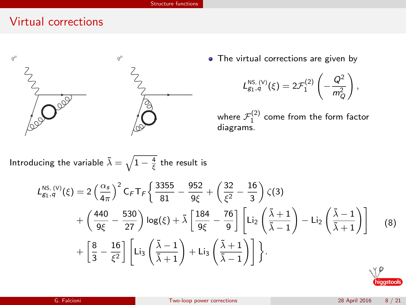## Virtual corrections



• The virtual corrections are given by

$$
L_{g_1,q}^{\text{NS}, (V)}(\xi)=2\mathcal{F}_1^{(2)}\left(-\frac{Q^2}{m_Q^2}\right),
$$

where  $\mathcal{F}_1^{(2)}$  come from the form factor diagrams.

Introducing the variable  $\tilde{\lambda} = \sqrt{1 - \frac{4}{\xi}}$  the result is

$$
L_{g_1,q}^{\text{NS},\,(V)}(\xi) = 2\left(\frac{\alpha_s}{4\pi}\right)^2 C_F T_F \left\{ \frac{3355}{81} - \frac{952}{9\xi} + \left(\frac{32}{\xi^2} - \frac{16}{3}\right)\zeta(3) \right.\n\left. + \left(\frac{440}{9\xi} - \frac{530}{27}\right) \log(\xi) + \tilde{\lambda} \left[\frac{184}{9\xi} - \frac{76}{9}\right] \left[ \text{Li}_2\left(\frac{\tilde{\lambda}+1}{\tilde{\lambda}-1}\right) - \text{Li}_2\left(\frac{\tilde{\lambda}-1}{\tilde{\lambda}+1}\right) \right] \tag{8}\n\right.
$$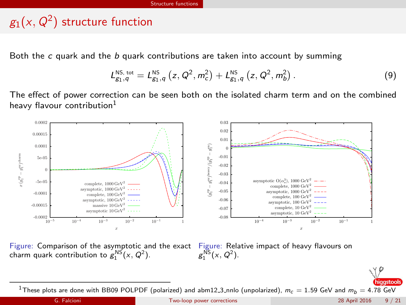# $\mathcal{g}_1(\mathsf{x},\mathsf{Q}^2)$  structure function

Both the  $c$  quark and the  $b$  quark contributions are taken into account by summing

$$
L_{g_1,q}^{\text{NS, tot}} = L_{g_1,q}^{\text{NS}}\left(z, Q^2, m_c^2\right) + L_{g_1,q}^{\text{NS}}\left(z, Q^2, m_b^2\right). \tag{9}
$$

The effect of power correction can be seen both on the isolated charm term and on the combined heavy flavour contribution<sup>1</sup>



Figure: Comparison of the asymptotic and the exact Figure: Relative impact of heavy flavours on charm quark contribution to  $g_1^{\text{NS}}(x, Q^2)$ . charm quark contribution to  $g_1^{\text{NS}}(x, Q^2)$ .





higgstools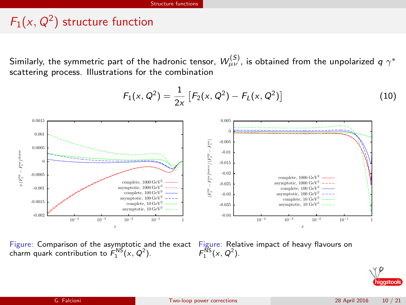# $F_1(x,Q^2)$  structure function

Similarly, the symmetric part of the hadronic tensor,  $\,{\cal W}^{(S)}_{\mu\nu}$  , is obtained from the unpolarized  $\,q\,\gamma^*$ scattering process. Illustrations for the combination



Figure: Comparison of the asymptotic and the exact charm quark contribution to  $F_1^{\text{NS}}(x, Q^2)$ .

Figure: Relative impact of heavy flavours on  $F_1^{\text{NS}}(x, Q^2)$ .

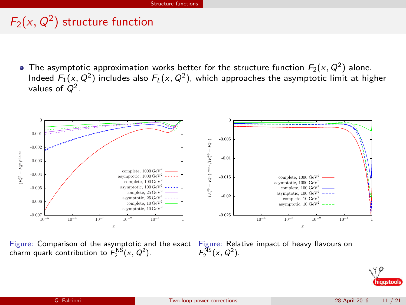# $F_2(x,Q^2)$  structure function

The asymptotic approximation works better for the structure function  $F_2(x,Q^2)$  alone. Indeed  $F_1(x,Q^2)$  includes also  $F_L(x,Q^2)$ , which approaches the asymptotic limit at higher values of  $Q^2$ .



Figure: Comparison of the asymptotic and the exact charm quark contribution to  $F_2^{\text{NS}}(x, Q^2)$ .

Figure: Relative impact of heavy flavours on  $F_2^{\overline{\text{NS}}}(x, Q^2)$ .

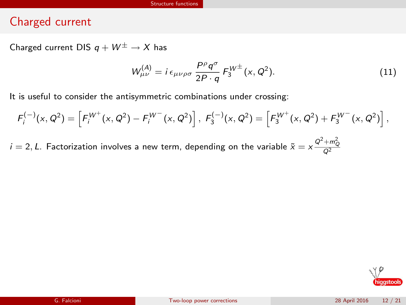## Charged current

Charged current DIS  $q + W^{\pm} \rightarrow X$  has

$$
W_{\mu\nu}^{(A)} = i \epsilon_{\mu\nu\rho\sigma} \frac{P^{\rho} q^{\sigma}}{2P \cdot q} F_3^{\Psi^{\pm}}(x, Q^2).
$$
 (11)

It is useful to consider the antisymmetric combinations under crossing:

$$
F_i^{(-)}(x,Q^2) = \left[ F_i^{W^+}(x,Q^2) - F_i^{W^-}(x,Q^2) \right], \ F_3^{(-)}(x,Q^2) = \left[ F_3^{W^+}(x,Q^2) + F_3^{W^-}(x,Q^2) \right],
$$

 $i=2, L$ . Factorization involves a new term, depending on the variable  $\tilde{x} = \mathsf{x}\frac{\mathrm{Q}^2 + m_Q^2}{\mathrm{Q}^2}$ 

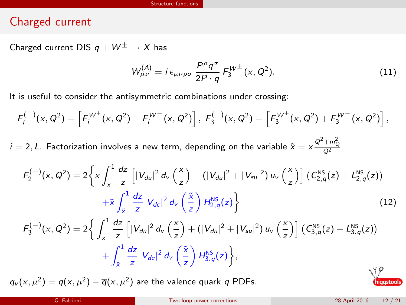### Charged current

Charged current DIS  $q + W^{\pm} \rightarrow X$  has

$$
W_{\mu\nu}^{(A)} = i \epsilon_{\mu\nu\rho\sigma} \frac{P^{\rho}q^{\sigma}}{2P \cdot q} F_3^{W^{\pm}}(x, Q^2).
$$
 (11)

It is useful to consider the antisymmetric combinations under crossing:

$$
F_i^{(-)}(x,Q^2) = \left[ F_i^{W^+}(x,Q^2) - F_i^{W^-}(x,Q^2) \right], F_3^{(-)}(x,Q^2) = \left[ F_3^{W^+}(x,Q^2) + F_3^{W^-}(x,Q^2) \right],
$$

 $i=2, L$ . Factorization involves a new term, depending on the variable  $\tilde{x} = \mathsf{x}\frac{\mathrm{Q}^2 + m_Q^2}{\mathrm{Q}^2}$ 

$$
F_2^{(-)}(x, Q^2) = 2\left\{ x \int_x^1 \frac{dz}{z} \left[ |V_{du}|^2 d_V\left(\frac{x}{z}\right) - (|V_{du}|^2 + |V_{su}|^2) u_V\left(\frac{x}{z}\right) \right] \left(C_{2,q}^{NS}(z) + L_{2,q}^{NS}(z)\right) + \tilde{x} \int_{\tilde{x}}^1 \frac{dz}{z} |V_{dc}|^2 d_V\left(\frac{\tilde{x}}{z}\right) H_{2,q}^{NS}(z) \right\}
$$
(12)

$$
F_3^{(-)}(x, Q^2) = 2\left\{ \int_x^1 \frac{dz}{z} \left[ |V_{du}|^2 d_v \left( \frac{x}{z} \right) + (|V_{du}|^2 + |V_{su}|^2) u_v \left( \frac{x}{z} \right) \right] \left( C_{3,q}^{NS}(z) + L_{3,q}^{NS}(z) \right) + \int_{\tilde{x}}^1 \frac{dz}{z} |V_{dc}|^2 d_v \left( \frac{\tilde{x}}{z} \right) H_{3,q}^{NS}(z) \right\},
$$

 $q_v(x,\mu^2) = q(x,\mu^2) - \overline{q}(x,\mu^2)$  are the valence quark q PDFs.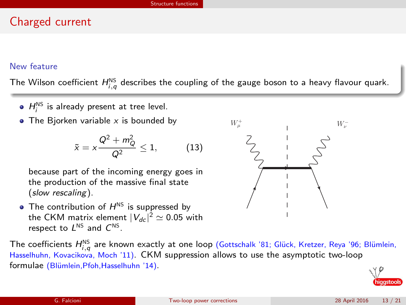## Charged current

### New feature

The Wilson coefficient  $H_{i,q}^{\text{NS}}$  describes the coupling of the gauge boson to a heavy flavour quark.

- $H_i^{\text{NS}}$  is already present at tree level.
- The Biorken variable  $x$  is bounded by

$$
\tilde{x}=x\frac{Q^2+m_Q^2}{Q^2}\leq 1,\qquad \quad \textbf{(13)}
$$

because part of the incoming energy goes in the production of the massive final state (slow rescaling).

• The contribution of  $H^{NS}$  is suppressed by the CKM matrix element  $|V_{dc}|^2 \simeq$  0.05 with respect to  $L^{NS}$  and  $C^{NS}$ .

The coefficients  $H_{i,q}^{\text{NS}}$  are known exactly at one loop (Gottschalk '81; Glück, Kretzer, Reya '96; Blümlein, Hasselhuhn, Kovacikova, Moch '11). CKM suppression allows to use the asymptotic two-loop formulae (Blümlein, Pfoh, Hasselhuhn '14).



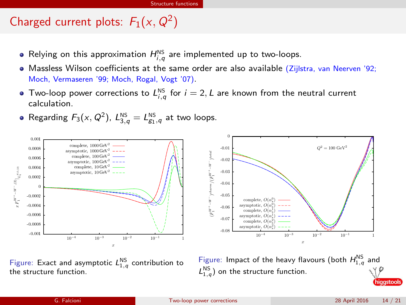# Charged current plots:  $F_1(x, Q^2)$

- Relying on this approximation  $H^{\text{NS}}_{i,q}$  are implemented up to two-loops.
- Massless Wilson coefficients at the same order are also available (Zijlstra, van Neerven '92; Moch, Vermaseren '99; Moch, Rogal, Vogt '07).
- Two-loop power corrections to  $L_{i,q}^{\text{NS}}$  for  $i = 2, L$  are known from the neutral current calculation.
- Regarding  $F_3(x, Q^2)$ ,  $L_{3,q}^{\text{NS}} = L_{g_1,q}^{\text{NS}}$  at two loops.



Figure: Impact of the heavy flavours (both  $H_{1,q}^{\text{NS}}$  and  $L_{1,q}^{\text{NS}}$ ) on the structure function.

iaastool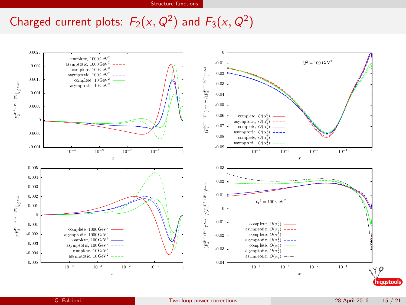# Charged current plots:  $F_2(x, Q^2)$  and  $F_3(x, Q^2)$

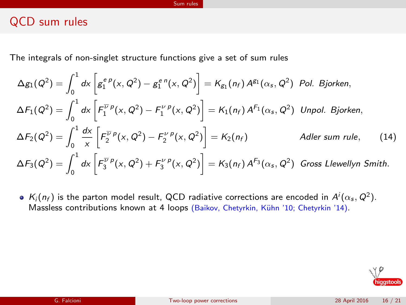## QCD sum rules

The integrals of non-singlet structure functions give a set of sum rules

$$
\Delta g_1(Q^2) = \int_0^1 dx \left[ g_1^{e\rho}(x, Q^2) - g_1^{e\rho}(x, Q^2) \right] = K_{g_1}(n_f) A^{g_1}(\alpha_s, Q^2) \text{ Pol. Bjorken,}
$$
\n
$$
\Delta F_1(Q^2) = \int_0^1 dx \left[ F_1^{\overline{\nu}\rho}(x, Q^2) - F_1^{\nu\rho}(x, Q^2) \right] = K_1(n_f) A^{f_1}(\alpha_s, Q^2) \text{ Unpol. Bjorken,}
$$
\n
$$
\Delta F_2(Q^2) = \int_0^1 \frac{dx}{x} \left[ F_2^{\overline{\nu}\rho}(x, Q^2) - F_2^{\nu\rho}(x, Q^2) \right] = K_2(n_f) \qquad \text{Adler sum rule,}
$$
\n
$$
\Delta F_3(Q^2) = \int_0^1 dx \left[ F_3^{\overline{\nu}\rho}(x, Q^2) + F_3^{\nu\rho}(x, Q^2) \right] = K_3(n_f) A^{f_3}(\alpha_s, Q^2) \text{ Gross Llewellyn Smith.}
$$
\n(14)

 $K_i(n_f)$  is the parton model result, QCD radiative corrections are encoded in  $A^i(\alpha_s,Q^2)$ . Massless contributions known at 4 loops (Baikov, Chetyrkin, Kühn '10; Chetyrkin '14).

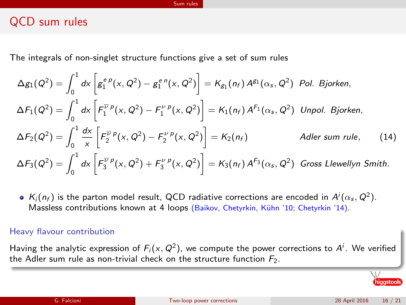## QCD sum rules

The integrals of non-singlet structure functions give a set of sum rules

$$
\Delta g_1(Q^2) = \int_0^1 dx \left[ g_1^{e\rho}(x, Q^2) - g_1^{e\rho}(x, Q^2) \right] = K_{g_1}(n_f) A^{g_1}(\alpha_s, Q^2) \text{ Pol. Bjorken,}
$$
\n
$$
\Delta F_1(Q^2) = \int_0^1 dx \left[ F_1^{\overline{\nu}\rho}(x, Q^2) - F_1^{\nu\rho}(x, Q^2) \right] = K_1(n_f) A^{f_1}(\alpha_s, Q^2) \text{ Unpol. Bjorken,}
$$
\n
$$
\Delta F_2(Q^2) = \int_0^1 \frac{dx}{x} \left[ F_2^{\overline{\nu}\rho}(x, Q^2) - F_2^{\nu\rho}(x, Q^2) \right] = K_2(n_f) \qquad \text{Adler sum rule,}
$$
\n
$$
\Delta F_3(Q^2) = \int_0^1 dx \left[ F_3^{\overline{\nu}\rho}(x, Q^2) + F_3^{\nu\rho}(x, Q^2) \right] = K_3(n_f) A^{f_3}(\alpha_s, Q^2) \text{ Gross Llewellyn Smith.}
$$
\n(14)

 $K_i(n_f)$  is the parton model result, QCD radiative corrections are encoded in  $A^i(\alpha_s,Q^2)$ . Massless contributions known at 4 loops (Baikov, Chetyrkin, Kühn '10; Chetyrkin '14).

### Heavy flavour contribution

Having the analytic expression of  $F_i(x,Q^2)$ , we compute the power corrections to  $A^i$ . We verified the Adler sum rule as non-trivial check on the structure function  $F_2$ .

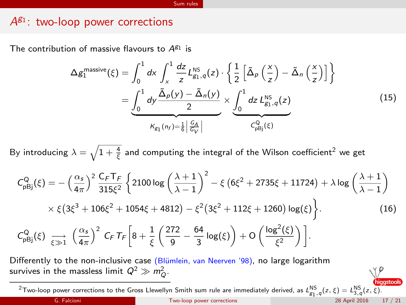# $A^{g_1}$ : two-loop power corrections

The contribution of massive flavours to  $A^{g_1}$  is

$$
\Delta g_1^{\text{massive}}(\xi) = \int_0^1 dx \int_x^1 \frac{dz}{z} L_{g_1, q}^{\text{NS}}(z) \cdot \left\{ \frac{1}{2} \left[ \tilde{\Delta}_p \left( \frac{x}{z} \right) - \tilde{\Delta}_n \left( \frac{x}{z} \right) \right] \right\}
$$

$$
= \underbrace{\int_0^1 dy \frac{\tilde{\Delta}_p(y) - \tilde{\Delta}_n(y)}{2}}_{K_{g_1}(n_f) = \frac{1}{6} \left| \frac{c_A}{c_V} \right|} \times \underbrace{\int_0^1 dz L_{g_1, q}^{\text{NS}}(z)}_{C_{pG_j}^Q(\xi)}
$$
(15)

By introducing  $\lambda=\sqrt{1+\frac{4}{\xi}}$  and computing the integral of the Wilson coefficient<sup>2</sup> we get

$$
C_{pBj}^{Q}(\xi) = -\left(\frac{\alpha_{s}}{4\pi}\right)^{2} \frac{C_{F}T_{F}}{315\xi^{2}} \left\{ 2100 \log \left(\frac{\lambda+1}{\lambda-1}\right)^{2} - \xi \left(6\xi^{2} + 2735\xi + 11724\right) + \lambda \log \left(\frac{\lambda+1}{\lambda-1}\right) \right\}
$$

$$
\times \xi \left(3\xi^{3} + 106\xi^{2} + 1054\xi + 4812\right) - \xi^{2} \left(3\xi^{2} + 112\xi + 1260\right) \log(\xi) \right\}.
$$
(16)  

$$
C_{pBj}^{Q}(\xi) \xrightarrow[\xi \gg 1]{} \left(\frac{\alpha_{s}}{4\pi}\right)^{2} C_{F}T_{F}\left[8 + \frac{1}{\xi}\left(\frac{272}{9} - \frac{64}{3}\log(\xi)\right) + O\left(\frac{\log^{2}(\xi)}{\xi^{2}}\right)\right].
$$

Differently to the non-inclusive case (Blümlein, van Neerven '98), no large logarithm survives in the massless limit  $Q^2 \gg m_Q^2$ .

<sup>2</sup>Two-loop power corrections to the Gross Llewellyn Smith sum rule are immediately derived, as  $L_{g_1,q}^{\text{NS}}(z,\xi) = L_{3,q}^{\text{NS}}(z,\xi)$ .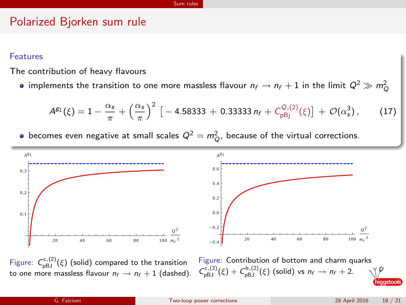### Polarized Bjorken sum rule

### Features

The contribution of heavy flavours

implements the transition to one more massless flavour  $n_f \rightarrow n_f+1$  in the limit  $Q^2 \gg m_Q^2$ 

$$
A^{g_1}(\xi) = 1 - \frac{\alpha_s}{\pi} + \left(\frac{\alpha_s}{\pi}\right)^2 \left[ -4.58333 + 0.33333 n_f + C_{\text{pBj}}^{Q,(2)}(\xi) \right] + \mathcal{O}(\alpha_s^3), \tag{17}
$$

becomes even negative at small scales  $Q^2 = m_Q^2$ , because of the virtual corrections.



Figure:  $C_{pBJ}^{c,(2)}(\xi)$  (solid) compared to the transition to one more massless flavour  $n_f \rightarrow n_f + 1$  (dashed).

Figure: Contribution of bottom and charm quarks  $C_{\text{pBJ}}^{c,(2)}(\xi) + C_{\text{pBJ}}^{b,(2)}(\xi)$  (solid) vs  $n_f \rightarrow n_f + 2$ .

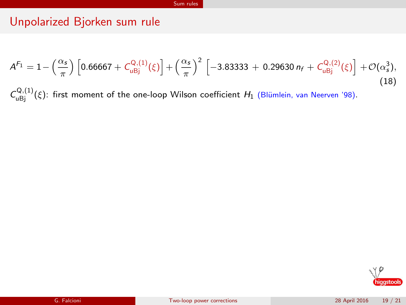## Unpolarized Bjorken sum rule

$$
A^{F_1} = 1 - \left(\frac{\alpha_s}{\pi}\right) \left[0.66667 + C_{u\text{Bj}}^{Q,(1)}(\xi)\right] + \left(\frac{\alpha_s}{\pi}\right)^2 \left[-3.83333 + 0.29630 n_f + C_{u\text{Bj}}^{Q,(2)}(\xi)\right] + \mathcal{O}(\alpha_s^3),\tag{18}
$$

 $C_{\text{uBj}}^{Q,(1)}(\xi)$ : first moment of the one-loop Wilson coefficient  $H_1$  (Blümlein, van Neerven '98).

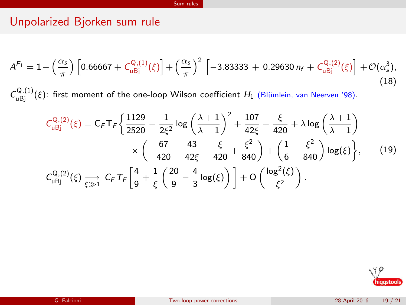# Unpolarized Bjorken sum rule

$$
A^{F_1} = 1 - \left(\frac{\alpha_s}{\pi}\right) \left[0.66667 + C_{u\text{Bj}}^{Q,(1)}(\xi)\right] + \left(\frac{\alpha_s}{\pi}\right)^2 \left[-3.83333 + 0.29630 n_f + C_{u\text{Bj}}^{Q,(2)}(\xi)\right] + \mathcal{O}(\alpha_s^3),\tag{18}
$$

 $C_{\text{uBj}}^{Q,(1)}(\xi)$ : first moment of the one-loop Wilson coefficient  $H_1$  (Blümlein, van Neerven '98).

$$
C_{uBj}^{Q,(2)}(\xi) = C_F T_F \left\{ \frac{1129}{2520} - \frac{1}{2\xi^2} \log \left( \frac{\lambda + 1}{\lambda - 1} \right)^2 + \frac{107}{42\xi} - \frac{\xi}{420} + \lambda \log \left( \frac{\lambda + 1}{\lambda - 1} \right) \times \left( -\frac{67}{420} - \frac{43}{42\xi} - \frac{\xi}{420} + \frac{\xi^2}{840} \right) + \left( \frac{1}{6} - \frac{\xi^2}{840} \right) \log(\xi) \right\}, \qquad (19)
$$
  

$$
C_{uBj}^{Q,(2)}(\xi) \underset{\xi \gg 1}{\longrightarrow} C_F T_F \left[ \frac{4}{9} + \frac{1}{\xi} \left( \frac{20}{9} - \frac{4}{3} \log(\xi) \right) \right] + O\left( \frac{\log^2(\xi)}{\xi^2} \right).
$$

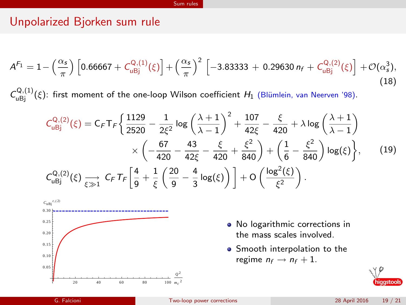# Unpolarized Bjorken sum rule

$$
A^{F_1} = 1 - \left(\frac{\alpha_s}{\pi}\right) \left[0.66667 + C_{u\text{Bj}}^{Q,(1)}(\xi)\right] + \left(\frac{\alpha_s}{\pi}\right)^2 \left[-3.83333 + 0.29630 n_f + C_{u\text{Bj}}^{Q,(2)}(\xi)\right] + \mathcal{O}(\alpha_s^3),\tag{18}
$$

 $C_{\text{uBj}}^{Q,(1)}(\xi)$ : first moment of the one-loop Wilson coefficient  $H_1$  (Blümlein, van Neerven '98).

$$
C_{u\text{Bj}}^{Q,(2)}(\xi) = C_F T_F \left\{ \frac{1129}{2520} - \frac{1}{2\xi^2} \log \left( \frac{\lambda + 1}{\lambda - 1} \right)^2 + \frac{107}{42\xi} - \frac{\xi}{420} + \lambda \log \left( \frac{\lambda + 1}{\lambda - 1} \right) \right.\times \left( -\frac{67}{420} - \frac{43}{42\xi} - \frac{\xi}{420} + \frac{\xi^2}{840} \right) + \left( \frac{1}{6} - \frac{\xi^2}{840} \right) \log(\xi) \right\}, \qquad (19)
$$
  

$$
C_{u\text{Bj}}^{Q,(2)}(\xi) \underset{\xi \gg 1}{\longrightarrow} C_F T_F \left[ \frac{4}{9} + \frac{1}{\xi} \left( \frac{20}{9} - \frac{4}{3} \log(\xi) \right) \right] + O\left( \frac{\log^2(\xi)}{\xi^2} \right).
$$



- No logarithmic corrections in the mass scales involved.
- **•** Smooth interpolation to the regime  $n_f \rightarrow n_f + 1$ .

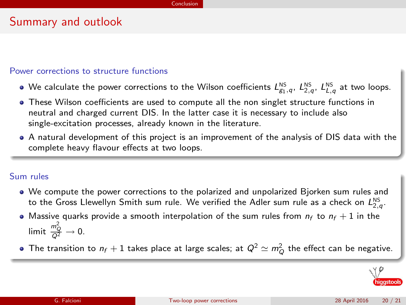## Summary and outlook

### Power corrections to structure functions

- We calculate the power corrections to the Wilson coefficients  $L_{g_1,q}^{\text{NS}},~L_{2,q}^{\text{NS}},~L_{L,q}^{\text{NS}}$  at two loops.
- These Wilson coefficients are used to compute all the non singlet structure functions in neutral and charged current DIS. In the latter case it is necessary to include also single-excitation processes, already known in the literature.
- A natural development of this project is an improvement of the analysis of DIS data with the complete heavy flavour effects at two loops.

### Sum rules

- We compute the power corrections to the polarized and unpolarized Bjorken sum rules and to the Gross Llewellyn Smith sum rule. We verified the Adler sum rule as a check on  $L_{2,q}^{\text{\tiny NS}}$ .
- Massive quarks provide a smooth interpolation of the sum rules from  $n_f$  to  $n_f + 1$  in the limit  $\frac{m_Q^2}{Q^2} \to 0$ .
- The transition to  $n_f + 1$  takes place at large scales; at  $Q^2 \simeq m_Q^2$  the effect can be negative.